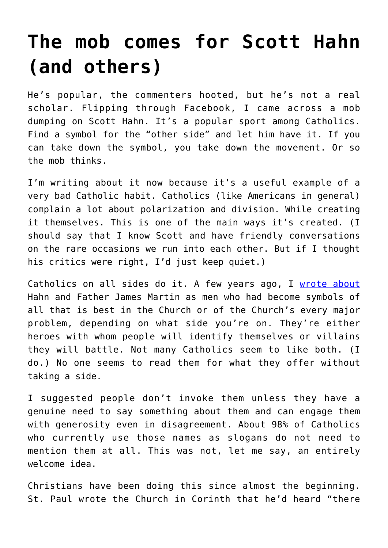## **[The mob comes for Scott Hahn](https://www.osvnews.com/2021/12/20/the-mob-comes-for-scott-hahn-and-others/) [\(and others\)](https://www.osvnews.com/2021/12/20/the-mob-comes-for-scott-hahn-and-others/)**

He's popular, the commenters hooted, but he's not a real scholar. Flipping through Facebook, I came across a mob dumping on Scott Hahn. It's a popular sport among Catholics. Find a symbol for the "other side" and let him have it. If you can take down the symbol, you take down the movement. Or so the mob thinks.

I'm writing about it now because it's a useful example of a very bad Catholic habit. Catholics (like Americans in general) complain a lot about polarization and division. While creating it themselves. This is one of the main ways it's created. (I should say that I know Scott and have friendly conversations on the rare occasions we run into each other. But if I thought his critics were right, I'd just keep quiet.)

Catholics on all sides do it. A few years ago, I [wrote about](https://aleteia.org/2017/09/25/fr-james-martin-scott-hahn-dont-talk-about-them/) Hahn and Father James Martin as men who had become symbols of all that is best in the Church or of the Church's every major problem, depending on what side you're on. They're either heroes with whom people will identify themselves or villains they will battle. Not many Catholics seem to like both. (I do.) No one seems to read them for what they offer without taking a side.

I suggested people don't invoke them unless they have a genuine need to say something about them and can engage them with generosity even in disagreement. About 98% of Catholics who currently use those names as slogans do not need to mention them at all. This was not, let me say, an entirely welcome idea.

Christians have been doing this since almost the beginning. St. Paul wrote the Church in Corinth that he'd heard "there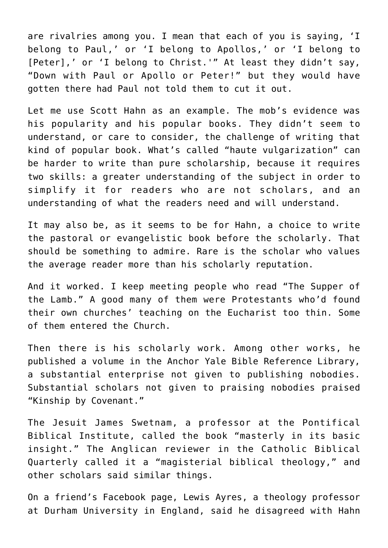are rivalries among you. I mean that each of you is saying, 'I belong to Paul,' or 'I belong to Apollos,' or 'I belong to [Peter],' or 'I belong to Christ.'" At least they didn't say, "Down with Paul or Apollo or Peter!" but they would have gotten there had Paul not told them to cut it out.

Let me use Scott Hahn as an example. The mob's evidence was his popularity and his popular books. They didn't seem to understand, or care to consider, the challenge of writing that kind of popular book. What's called "haute vulgarization" can be harder to write than pure scholarship, because it requires two skills: a greater understanding of the subject in order to simplify it for readers who are not scholars, and an understanding of what the readers need and will understand.

It may also be, as it seems to be for Hahn, a choice to write the pastoral or evangelistic book before the scholarly. That should be something to admire. Rare is the scholar who values the average reader more than his scholarly reputation.

And it worked. I keep meeting people who read "The Supper of the Lamb." A good many of them were Protestants who'd found their own churches' teaching on the Eucharist too thin. Some of them entered the Church.

Then there is his scholarly work. Among other works, he published a volume in the Anchor Yale Bible Reference Library, a substantial enterprise not given to publishing nobodies. Substantial scholars not given to praising nobodies praised "Kinship by Covenant."

The Jesuit James Swetnam, a professor at the Pontifical Biblical Institute, called the book "masterly in its basic insight." The Anglican reviewer in the Catholic Biblical Quarterly called it a "magisterial biblical theology," and other scholars said similar things.

On a friend's Facebook page, Lewis Ayres, a theology professor at Durham University in England, said he disagreed with Hahn